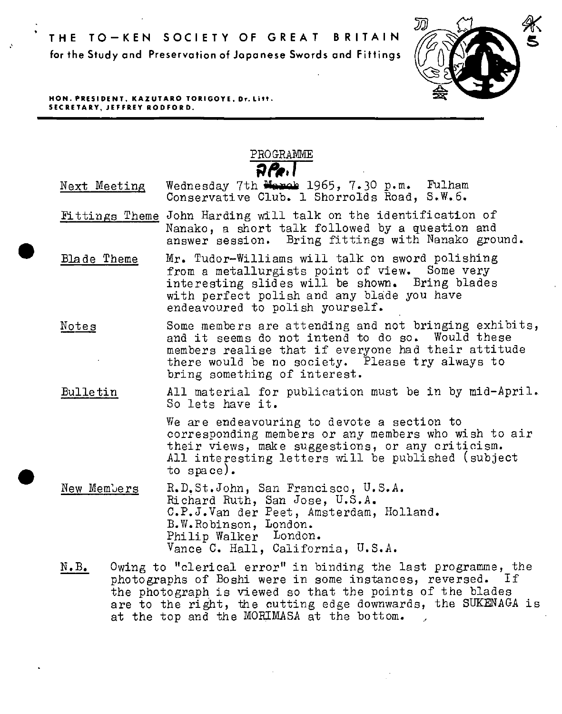

**HON. PRESIDENT, KAZUTARO TORIGOYE, Dr.Litt. SECRETARY, JEFFREY RODFORD.** 

·'

•

•

PROGRAMME p,o~. **I** 

- Next Meeting Wednesday 7th Manub 1965, 7.30 p.m. Fulham Conservative Club. 1 Shorrolds Road, S.W.6.
- Fittings Theme John Harding will talk on the identification of Nanako, a short talk followed by a question and answer session. Bring fittings with Nanako ground •
- Blade Theme Mr. Tudor-Williams will talk on sword polishing from a metallurgists point of view. Some very<br>interesting slides will be shown. Bring blades interesting slides will be shown. with perfect polish and any blade you have endeavoured to polish yourself.
- Some members are attending and not bringing exhibits, Notes and it seems do not intend to do so. Would these members realise that if everyone had their attitude there would be no society. Please try always to bring something of interest.
- All material for publication must be in by mid-April. **Bulletin** So lets have it.

We are endeavouring to devote a section to corresponding members or any members who wish to air their views, make suggestions, or any criticism. *All* interesting letters will be published (subject to space) •

- New Members R.D,St.John, San Francisco, U.S.A. Richard Ruth, San Jose, U.S.A. C.P.J.Van der Peet, Amsterdam, Holland. B.W.Robinson, London. Philip Walker London. Vance C. Hall, California, U.S.A.
- Owing to "clerical error" in binding the last programme, the  $N$ .  $B_{\bullet}$ photographs of Boshi were in some instances, reversed. If the photograph is viewed so that the points of the blades are to the right, the cutting edge downwards, the SUKENAGA is at the top and the MORIMASA at the bottom.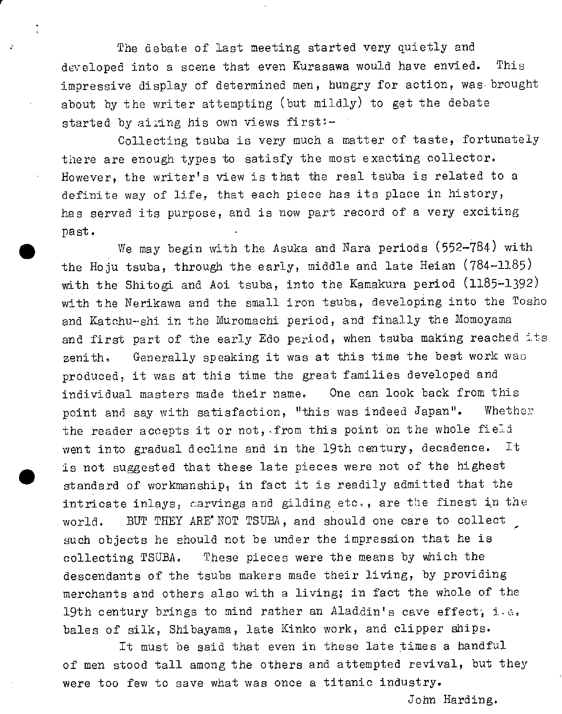The debate of last meeting started very quietly and developed into a scene that even Kurasawa would have envied. This impressive display of determined men, hungry for action, was brought about by the writer attempting (but mildly) to get the debate started by airing his own views first:-

r

·'

•

•

Collecting tsuba is very much a matter of taste, fortunately there are enough types to satisfy the most exacting collector. However, the writer's view is that the real tsuba is related to <sup>a</sup> definite way of life, that each piece has its place in history, has served its purpose, and is now part record of a very exciting past.

We may begin with the Asuka and Nara periods (552-784) with the Hoju tsuba, through the early, middle and late Heian (784-1185) with the Shitogi and Aoi tsuba, into the Kamakura period (1185-1392) with the Nerikawa and the small iron tsuba, developing into the Tosho and Katchu-shi in the Muromachi period, and finally the Momoyama and first part of the early Edo period, when tsuba making reached its zenith. Generally speaking it was at this time the best work was produced, it was at this time the great families developed and individual masters made their name. One can look back from this point and say with satisfaction, "this was indeed Japan". Whether the reader accepts it or not, from this point on the whole field went into gradual decline and in the 19th century, decadence. It is not suggested that these late pieces were not of the highest standard of workmanship, in fact it is readily admitted that the intricate inlays, carvings and gilding etc., are the finest in the world. BUT THEY ARE'NOT TSUBA, and should one care to collect such objects be should not be under the impression that he is collecting TSUBA. These pieces were the means by which the descendants of the tsuba makers made their living, by providing merchants and others also with a living; in fact the whole of the 19th century brings to mind rather an Aladdin's cave effect; i.e. bales of silk, Shibayama, late Kinko work, and clipper ships.

It must be said that even in these late times a handful of men stood tall among the others and attempted revival, but they were too few to save what was once a titanic industry.

John Harding.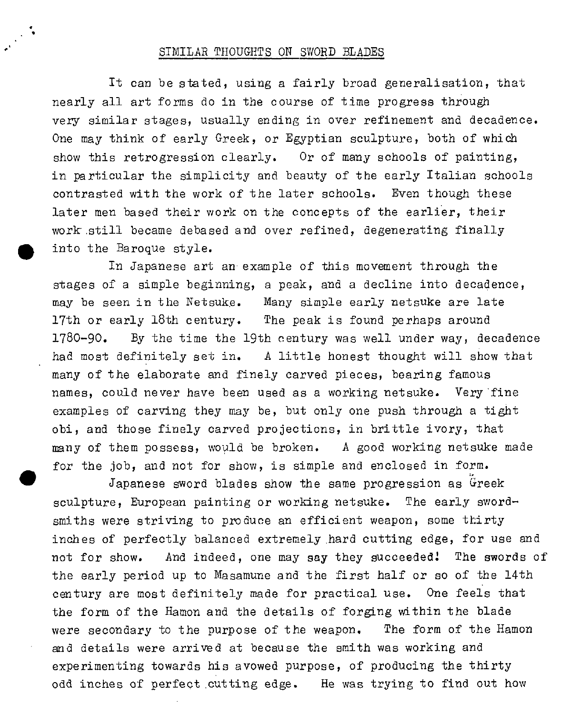## SIMILAR THOUGHTS ON SWORD BLADES

•'

• •

It can be stated, using a fairly broad generalisation, that nearly all art forms do in the course of time progress through very similar stages, usually ending in over refinement and decadence. One may think of early Greek, or Egyptian sculpture, both of which show this retrogression clearly. Or of many schools of painting, in particular the simplicity and beauty of the early Italian schools contrasted with the work of the later schools. Even though these later men based their work on the concepts of the earlier, their work .still became debased and over refined, degenerating finally into the Baroque style.

In Japanese art an example of this movement through the stages of a simple beginning, a peak, and a decline into decadence, may be seen in the Netsuke. Many simple early netsuke are late 17th or early 18th century. The peak is found perhaps around 1780-90. By the time the 19th century was well under way, decadence had most definitely set in. A little honest thought will show that many of the elaborate and finely carved pieces, bearing famous names, could never have been used as a working netsuke. Very 'fine examples of carving they may be, but only one push through a tight obi, and those finely carved projections, in brittle ivory, that many of them possess, would be broken. A good working netsuke made for the job, and not for show, is simple and enclosed in form.

 $\bullet$ Japanese sword blades show the same progression as Greek sculpture, European painting or working netsuke. The early swordsmiths were striving to produce an efficient weapon, some thirty inches of perfectly balanced extremely .hard cutting edge, for use and not for show. And indeed, one may say they succeeded! The swords of the early period up to Masamune and the first half or so of the 14th century are most definitely made for practical use. One feels that the form of the Hamon and the details of forging within the blade were secondary to the purpose of the weapon, The form of the Hamon and details were arrived at because the smith was working and experimenting towards his avowed purpose, of producing the thirty odd inches of perfect .cutting edge. He was trying to find out how